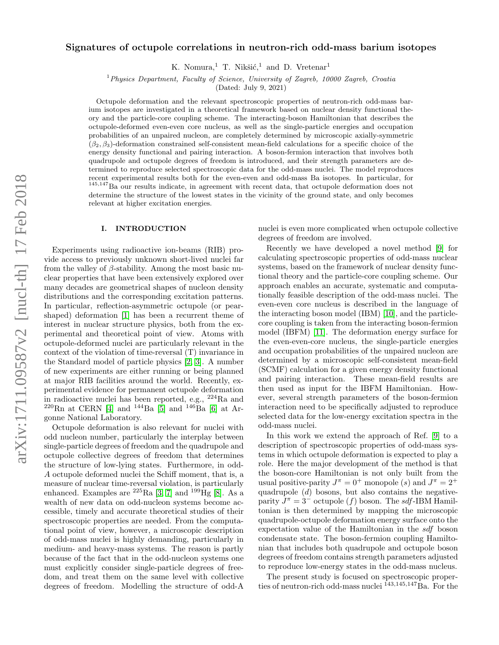# Signatures of octupole correlations in neutron-rich odd-mass barium isotopes

K. Nomura,<sup>1</sup> T. Nikšić,<sup>1</sup> and D. Vretenar<sup>1</sup>

 $1$ Physics Department, Faculty of Science, University of Zagreb, 10000 Zagreb, Croatia

(Dated: July 9, 2021)

Octupole deformation and the relevant spectroscopic properties of neutron-rich odd-mass barium isotopes are investigated in a theoretical framework based on nuclear density functional theory and the particle-core coupling scheme. The interacting-boson Hamiltonian that describes the octupole-deformed even-even core nucleus, as well as the single-particle energies and occupation probabilities of an unpaired nucleon, are completely determined by microscopic axially-symmetric  $(\beta_2, \beta_3)$ -deformation constrained self-consistent mean-field calculations for a specific choice of the energy density functional and pairing interaction. A boson-fermion interaction that involves both quadrupole and octupole degrees of freedom is introduced, and their strength parameters are determined to reproduce selected spectroscopic data for the odd-mass nuclei. The model reproduces recent experimental results both for the even-even and odd-mass Ba isotopes. In particular, for <sup>145</sup>,<sup>147</sup>Ba our results indicate, in agreement with recent data, that octupole deformation does not determine the structure of the lowest states in the vicinity of the ground state, and only becomes relevant at higher excitation energies.

## I. INTRODUCTION

Experiments using radioactive ion-beams (RIB) provide access to previously unknown short-lived nuclei far from the valley of  $\beta$ -stability. Among the most basic nuclear properties that have been extensively explored over many decades are geometrical shapes of nucleon density distributions and the corresponding excitation patterns. In particular, reflection-asymmetric octupole (or pearshaped) deformation [\[1\]](#page-9-0) has been a recurrent theme of interest in nuclear structure physics, both from the experimental and theoretical point of view. Atoms with octupole-deformed nuclei are particularly relevant in the context of the violation of time-reversal (T) invariance in the Standard model of particle physics [\[2,](#page-9-1) [3\]](#page-9-2). A number of new experiments are either running or being planned at major RIB facilities around the world. Recently, experimental evidence for permanent octupole deformation in radioactive nuclei has been reported, e.g., <sup>224</sup>Ra and  $^{220}$ Rn at CERN [\[4\]](#page-9-3) and  $^{144}$ Ba [\[5\]](#page-9-4) and  $^{146}$ Ba [\[6\]](#page-9-5) at Argonne National Laboratory.

Octupole deformation is also relevant for nuclei with odd nucleon number, particularly the interplay between single-particle degrees of freedom and the quadrupole and octupole collective degrees of freedom that determines the structure of low-lying states. Furthermore, in odd-A octupole deformed nuclei the Schiff moment, that is, a measure of nuclear time-reversal violation, is particularly enhanced. Examples are  $^{225}$ Ra [\[3,](#page-9-2) [7\]](#page-9-6) and  $^{199}$ Hg [\[8\]](#page-9-7). As a wealth of new data on odd-nucleon systems become accessible, timely and accurate theoretical studies of their spectroscopic properties are needed. From the computational point of view, however, a microscopic description of odd-mass nuclei is highly demanding, particularly in medium- and heavy-mass systems. The reason is partly because of the fact that in the odd-nucleon systems one must explicitly consider single-particle degrees of freedom, and treat them on the same level with collective degrees of freedom. Modelling the structure of odd-A

nuclei is even more complicated when octupole collective degrees of freedom are involved.

Recently we have developed a novel method [\[9\]](#page-9-8) for calculating spectroscopic properties of odd-mass nuclear systems, based on the framework of nuclear density functional theory and the particle-core coupling scheme. Our approach enables an accurate, systematic and computationally feasible description of the odd-mass nuclei. The even-even core nucleus is described in the language of the interacting boson model (IBM) [\[10\]](#page-9-9), and the particlecore coupling is taken from the interacting boson-fermion model (IBFM) [\[11\]](#page-9-10). The deformation energy surface for the even-even-core nucleus, the single-particle energies and occupation probabilities of the unpaired nucleon are determined by a microscopic self-consistent mean-field (SCMF) calculation for a given energy density functional and pairing interaction. These mean-field results are then used as input for the IBFM Hamiltonian. However, several strength parameters of the boson-fermion interaction need to be specifically adjusted to reproduce selected data for the low-energy excitation spectra in the odd-mass nuclei.

In this work we extend the approach of Ref. [\[9\]](#page-9-8) to a description of spectroscopic properties of odd-mass systems in which octupole deformation is expected to play a role. Here the major development of the method is that the boson-core Hamiltonian is not only built from the usual positive-parity  $J^{\pi} = 0^+$  monopole (s) and  $J^{\pi} = 2^+$ quadrupole  $(d)$  bosons, but also contains the negativeparity  $J^{\pi} = 3^{-}$  octupole (f) boson. The sdf-IBM Hamiltonian is then determined by mapping the microscopic quadrupole-octupole deformation energy surface onto the expectation value of the Hamiltonian in the sdf boson condensate state. The boson-fermion coupling Hamiltonian that includes both quadrupole and octupole boson degrees of freedom contains strength parameters adjusted to reproduce low-energy states in the odd-mass nucleus.

The present study is focused on spectroscopic properties of neutron-rich odd-mass nuclei <sup>143,145,147</sup>Ba. For the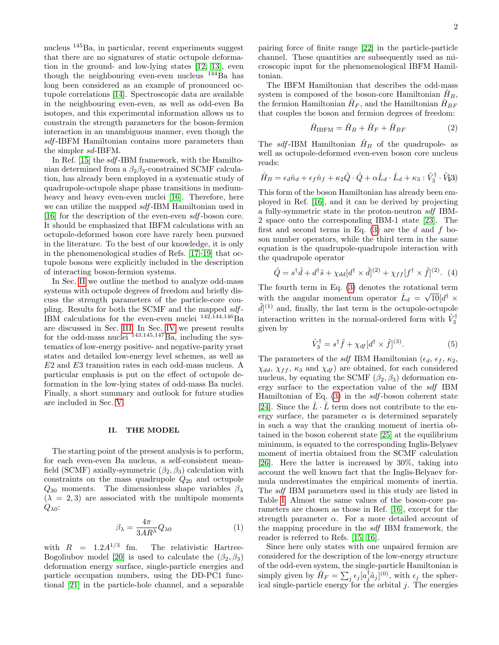nucleus <sup>145</sup>Ba, in particular, recent experiments suggest that there are no signatures of static octupole deformation in the ground- and low-lying states [\[12,](#page-9-11) [13\]](#page-9-12), even though the neighbouring even-even nucleus  $144\text{Ba}$  has long been considered as an example of pronounced octupole correlations [\[14\]](#page-9-13). Spectroscopic data are available in the neighbouring even-even, as well as odd-even Ba isotopes, and this experimental information allows us to constrain the strength parameters for the boson-fermion interaction in an unambiguous manner, even though the sdf-IBFM Hamiltonian contains more parameters than the simpler sd-IBFM.

In Ref. [\[15\]](#page-9-14) the sdf-IBM framework, with the Hamiltonian determined from a  $\beta_2\beta_3$ -constrained SCMF calculation, has already been employed in a systematic study of quadrupole-octupole shape phase transitions in mediumheavy and heavy even-even nuclei [\[16\]](#page-9-15). Therefore, here we can utilize the mapped sdf-IBM Hamiltonian used in [\[16\]](#page-9-15) for the description of the even-even sdf-boson core. It should be emphasized that IBFM calculations with an octupole-deformed boson core have rarely been pursued in the literature. To the best of our knowledge, it is only in the phenomenological studies of Refs. [\[17–](#page-9-16)[19\]](#page-10-0) that octupole bosons were explicitly included in the description of interacting boson-fermion systems.

In Sec. [II](#page-1-0) we outline the method to analyze odd-mass systems with octupole degrees of freedom and briefly discuss the strength parameters of the particle-core coupling. Results for both the SCMF and the mapped sdf-IBM calculations for the even-even nuclei  $142,144,146\text{ Ba}$ are discussed in Sec. [III.](#page-3-0) In Sec. [IV](#page-5-0) we present results for the odd-mass nuclei  $^{143,145,147}$ Ba, including the systematics of low-energy positive- and negative-parity yrast states and detailed low-energy level schemes, as well as E2 and E3 transition rates in each odd-mass nucleus. A particular emphasis is put on the effect of octupole deformation in the low-lying states of odd-mass Ba nuclei. Finally, a short summary and outlook for future studies are included in Sec. [V.](#page-8-0)

### <span id="page-1-0"></span>II. THE MODEL

The starting point of the present analysis is to perform, for each even-even Ba nucleus, a self-consistent meanfield (SCMF) axially-symmetric  $(\beta_2, \beta_3)$  calculation with constraints on the mass quadrupole  $Q_{20}$  and octupole  $Q_{30}$  moments. The dimensionless shape variables  $\beta_{\lambda}$  $(\lambda = 2, 3)$  are associated with the multipole moments  $Q_{\lambda 0}$ :

$$
\beta_{\lambda} = \frac{4\pi}{3AR^{\lambda}} Q_{\lambda 0} \tag{1}
$$

with  $R = 1.2A^{1/3}$  fm. The relativistic Hartree-Bogoliubov model [\[20\]](#page-10-1) is used to calculate the  $(\beta_2, \beta_3)$ deformation energy surface, single-particle energies and particle occupation numbers, using the DD-PC1 functional [\[21\]](#page-10-2) in the particle-hole channel, and a separable

pairing force of finite range [\[22\]](#page-10-3) in the particle-particle channel. These quantities are subsequently used as microscopic input for the phenomenological IBFM Hamiltonian.

The IBFM Hamiltonian that describes the odd-mass system is composed of the boson-core Hamiltonian  $H_B$ , the fermion Hamiltonian  $\hat{H}_F$ , and the Hamiltonian  $\hat{H}_{BF}$ that couples the boson and fermion degrees of freedom:

$$
\hat{H}_{\text{IBFM}} = \hat{H}_B + \hat{H}_F + \hat{H}_{BF} \tag{2}
$$

The sdf-IBM Hamiltonian  $\hat{H}_B$  of the quadrupole- as well as octupole-deformed even-even boson core nucleus reads:

<span id="page-1-1"></span>
$$
\hat{H}_B = \epsilon_d \hat{n}_d + \epsilon_f \hat{n}_f + \kappa_2 \hat{Q} \cdot \hat{Q} + \alpha \hat{L}_d \cdot \hat{L}_d + \kappa_3 : \hat{V}_3^{\dagger} \cdot \hat{V}_{\delta}^{\dagger} 3
$$

This form of the boson Hamiltonian has already been employed in Ref. [\[16\]](#page-9-15), and it can be derived by projecting a fully-symmetric state in the proton-neutron sdf IBM-2 space onto the corresponding IBM-1 state [\[23\]](#page-10-4). The first and second terms in Eq. [\(3\)](#page-1-1) are the d and f boson number operators, while the third term in the same equation is the quadrupole-quadrupole interaction with the quadrupole operator

<span id="page-1-2"></span>
$$
\hat{Q} = s^{\dagger} \tilde{d} + d^{\dagger} \tilde{s} + \chi_{dd} [d^{\dagger} \times \tilde{d}]^{(2)} + \chi_{ff} [f^{\dagger} \times \tilde{f}]^{(2)}.
$$
 (4)

The fourth term in Eq. [\(3\)](#page-1-1) denotes the rotational term with the angular momentum operator  $\hat{L}_d = \sqrt{10} \left[d^{\dagger} \times \right]$  $\tilde{d}^{(1)}$  and, finally, the last term is the octupole-octupole interaction written in the normal-ordered form with  $\hat{V}_3^{\dagger}$ given by

$$
\hat{V}_3^{\dagger} = s^{\dagger} \tilde{f} + \chi_{df} [d^{\dagger} \times \tilde{f}]^{(3)}.
$$
\n(5)

The parameters of the *sdf* IBM Hamiltonian ( $\epsilon_d$ ,  $\epsilon_f$ ,  $\kappa_2$ ,  $\chi_{dd}$ ,  $\chi_{ff}$ ,  $\kappa_3$  and  $\chi_{df}$ ) are obtained, for each considered nucleus, by equating the SCMF  $(\beta_2, \beta_3)$  deformation energy surface to the expectation value of the sdf IBM Hamiltonian of Eq.  $(3)$  in the *sdf*-boson coherent state [\[24\]](#page-10-5). Since the  $\hat{L} \cdot \hat{L}$  term does not contribute to the energy surface, the parameter  $\alpha$  is determined separately in such a way that the cranking moment of inertia obtained in the boson coherent state [\[25\]](#page-10-6) at the equilibrium minimum, is equated to the corresponding Inglis-Belyaev moment of inertia obtained from the SCMF calculation [\[26\]](#page-10-7). Here the latter is increased by 30%, taking into account the well known fact that the Inglis-Belyaev formula underestimates the empirical moments of inertia. The sdf IBM parameters used in this study are listed in Table [I.](#page-2-0) Almost the same values of the boson-core parameters are chosen as those in Ref. [\[16\]](#page-9-15), except for the strength parameter  $\alpha$ . For a more detailed account of the mapping procedure in the sdf IBM framework, the reader is referred to Refs. [\[15,](#page-9-14) [16\]](#page-9-15).

Since here only states with one unpaired fermion are considered for the description of the low-energy structure of the odd-even system, the single-particle Hamiltonian is simply given by  $\hat{H}_F = \sum_j \epsilon_j [a_j^{\dagger} \tilde{a}_j]^{(0)}$ , with  $\epsilon_j$  the spherical single-particle energy for the orbital  $j$ . The energies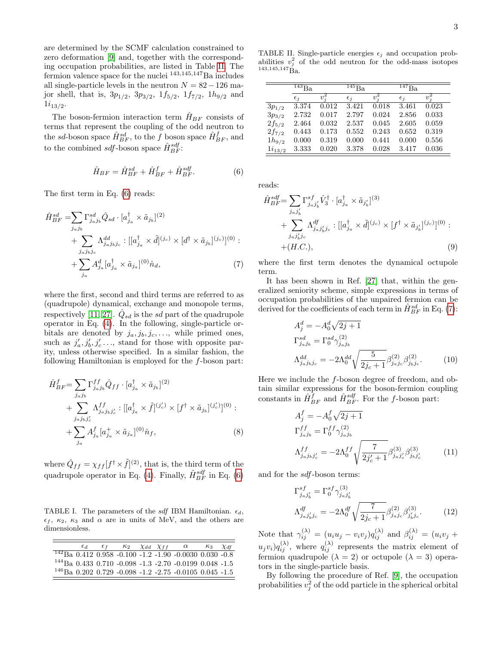are determined by the SCMF calculation constrained to zero deformation [\[9\]](#page-9-8) and, together with the corresponding occupation probabilities, are listed in Table [II.](#page-2-1) The fermion valence space for the nuclei  $^{143,145,147}$ Ba includes all single-particle levels in the neutron  $N = 82 - 126$  major shell, that is,  $3p_{1/2}$ ,  $3p_{3/2}$ ,  $1f_{5/2}$ ,  $1f_{7/2}$ ,  $1h_{9/2}$  and  $1i_{13/2}$ .

The boson-fermion interaction term  $\hat{H}_{BF}$  consists of terms that represent the coupling of the odd neutron to the sd-boson space  $\hat{H}^{sd}_{BF}$ , to the f boson space  $\hat{H}^f_{BF}$ , and to the combined *sdf*-boson space  $\hat{H}_{BF}^{sdf}$ :

<span id="page-2-2"></span>
$$
\hat{H}_{BF} = \hat{H}_{BF}^{sd} + \hat{H}_{BF}^{f} + \hat{H}_{BF}^{sdf}.
$$
\n(6)

The first term in Eq. [\(6\)](#page-2-2) reads:

<span id="page-2-3"></span>
$$
\hat{H}_{BF}^{sd} = \sum_{j_a j_b} \Gamma_{j_a j_b}^{sd} \hat{Q}_{sd} \cdot [a_{j_a}^{\dagger} \times \tilde{a}_{j_b}]^{(2)} \n+ \sum_{j_a j_b j_c} \Lambda_{j_a j_b j_c}^{dd} : [[a_{j_a}^{\dagger} \times \tilde{d}]^{(j_c)} \times [d^{\dagger} \times \tilde{a}_{j_b}]^{(j_c)}]^{(0)} : \n+ \sum_{j_a} A_{j_a}^d [a_{j_a}^{\dagger} \times \tilde{a}_{j_a}]^{(0)} \hat{n}_d,
$$
\n(7)

where the first, second and third terms are referred to as (quadrupole) dynamical, exchange and monopole terms, respectively [\[11,](#page-9-10) [27\]](#page-10-8).  $\hat{Q}_{sd}$  is the sd part of the quadrupole operator in Eq. [\(4\)](#page-1-2). In the following, single-particle orbitals are denoted by  $j_a, j_b, j_c, \ldots$ , while primed ones, such as  $j'_a, j'_b, j'_c \dots$ , stand for those with opposite parity, unless otherwise specified. In a similar fashion, the following Hamiltonian is employed for the f-boson part:

$$
\hat{H}_{BF}^{f} = \sum_{j_a j_b} \Gamma_{j_a j_b}^{f f} \hat{Q}_{f f} \cdot [a_{j_a}^{\dagger} \times \tilde{a}_{j_b}]^{(2)} \n+ \sum_{j_a j_b j'_c} \Lambda_{j_a j_b j'_c}^{f f} : [[a_{j_a}^{\dagger} \times \tilde{f}]^{(j'_c)} \times [f^{\dagger} \times \tilde{a}_{j_b}]^{(j'_c)}]^{(0)} : \n+ \sum_{j_a} A_{j_a}^{f} [a_{j_a}^{+} \times \tilde{a}_{j_a}]^{(0)} \hat{n}_f,
$$
\n(8)

where  $\hat{Q}_{ff} = \chi_{ff} [f^{\dagger} \times \tilde{f}]^{(2)}$ , that is, the third term of the quadrupole operator in Eq. [\(4\)](#page-1-2). Finally,  $\hat{H}_{BF}^{sdf}$  in Eq. [\(6\)](#page-2-2)

<span id="page-2-0"></span>TABLE I. The parameters of the *sdf* IBM Hamiltonian.  $\epsilon_d$ ,  $\epsilon_f$ ,  $\kappa_2$ ,  $\kappa_3$  and  $\alpha$  are in units of MeV, and the others are dimensionless.

| $\epsilon_d$ | $\epsilon_f$ |  | $\kappa_2$ $\chi_{dd}$ $\chi_{ff}$ $\alpha$                  | $\kappa_3$ | Xdf |
|--------------|--------------|--|--------------------------------------------------------------|------------|-----|
|              |              |  | $^{142}$ Ba 0.412 0.958 -0.100 -1.2 -1.90 -0.0030 0.030 -0.8 |            |     |
|              |              |  | $^{144}$ Ba 0.433 0.710 -0.098 -1.3 -2.70 -0.0199 0.048 -1.5 |            |     |
|              |              |  | $^{146}$ Ba 0.202 0.729 -0.098 -1.2 -2.75 -0.0105 0.045 -1.5 |            |     |

<span id="page-2-1"></span>TABLE II. Single-particle energies  $\epsilon_i$  and occupation probabilities  $v_j^2$  of the odd neutron for the odd-mass isotopes  $143,145,147$  $\mathrm{Ba}$ .

|             | $^{143}$ Ba  |               | 145a         |               | $^{147}$ Ba  |                 |
|-------------|--------------|---------------|--------------|---------------|--------------|-----------------|
|             | $\epsilon_i$ | $v_{\bar{i}}$ | $\epsilon_i$ | $v_{\bar{i}}$ | $\epsilon_i$ | $v_{\tilde{i}}$ |
| $3p_{1/2}$  | 3.374        | 0.012         | 3.421        | 0.018         | 3.461        | 0.023           |
| $3p_{3/2}$  | 2.732        | 0.017         | 2.797        | 0.024         | 2.856        | 0.033           |
| $2f_{5/2}$  | 2.464        | 0.032         | 2.537        | 0.045         | 2.605        | 0.059           |
| $2f_{7/2}$  | 0.443        | 0.173         | 0.552        | 0.243         | 0.652        | 0.319           |
| $1h_{9/2}$  | 0.000        | 0.319         | 0.000        | 0.441         | 0.000        | 0.556           |
| $1i_{13/2}$ | 3.333        | 0.020         | 3.378        | 0.028         | 3.417        | 0.036           |

reads:

$$
\hat{H}_{BF}^{sdf} = \sum_{j_a j'_b} \Gamma_{j_a j'_b}^{sf} \hat{V}_3^{\dagger} \cdot [a_{j_a}^{\dagger} \times \tilde{a}_{j'_b}]^{(3)} \n+ \sum_{j_a j'_b j_c} \Lambda_{j_a j'_b j_c}^{df} : [[a_{j_a}^{\dagger} \times \tilde{d}]^{(j_c)} \times [f^{\dagger} \times \tilde{a}_{j'_b}]^{(j_c)}]^{(0)} : \n+ (H.C.),
$$
\n(9)

where the first term denotes the dynamical octupole term.

It has been shown in Ref. [\[27\]](#page-10-8) that, within the generalized seniority scheme, simple expressions in terms of occupation probabilities of the unpaired fermion can be derived for the coefficients of each term in  $\hat{H}^{sd}_{BF}$  in Eq. [\(7\)](#page-2-3):

<span id="page-2-4"></span>
$$
A_j^d = -A_0^d \sqrt{2j+1}
$$
  
\n
$$
\Gamma_{j_a j_b}^{sd} = \Gamma_0^{sd} \gamma_{j_a j_b}^{(2)}
$$
  
\n
$$
\Lambda_{j_a j_b j_c}^{dd} = -2\Lambda_0^{dd} \sqrt{\frac{5}{2j_c+1}} \beta_{j_a j_c}^{(2)} \beta_{j_b j_c}^{(2)}.
$$
 (10)

Here we include the f-boson degree of freedom, and obtain similar expressions for the boson-fermion coupling constants in  $\hat{H}_{BF}^f$  and  $\hat{H}_{BF}^{sdf}$ . For the f-boson part:

$$
A_j^f = -A_0^f \sqrt{2j+1}
$$
  
\n
$$
\Gamma_{j_a j_b}^{f f} = \Gamma_0^{f f} \gamma_{j_a j_b}^{(2)}
$$
  
\n
$$
\Lambda_{j_a j_b j_c'}^{f f} = -2\Lambda_0^{f f} \sqrt{\frac{7}{2j_c' + 1}} \beta_{j_a j_c'}^{(3)} \beta_{j_b j_c'}^{(3)}
$$
\n(11)

and for the sdf-boson terms:

<span id="page-2-5"></span>
$$
\Gamma_{j_a j'_b}^{sf} = \Gamma_0^{sf} \gamma_{j_a j'_b}^{(3)}
$$
  
\n
$$
\Lambda_{j_a j'_b j_c}^{df} = -2\Lambda_0^{df} \sqrt{\frac{7}{2j_c + 1}} \beta_{j_a j_c}^{(2)} \beta_{j'_b j_c}^{(3)}.
$$
\n(12)

Note that  $\gamma_{ij}^{(\lambda)} = (u_i u_j - v_i v_j) q_{ij}^{(\lambda)}$  and  $\beta_{ij}^{(\lambda)} = (u_i v_j +$  $u_jv_i)q_{ij}^{(\lambda)}$ , where  $q_{ij}^{(\lambda)}$  represents the matrix element of fermion quadrupole  $(\lambda = 2)$  or octupole  $(\lambda = 3)$  operators in the single-particle basis.

By following the procedure of Ref. [\[9\]](#page-9-8), the occupation probabilities  $v_j^2$  of the odd particle in the spherical orbital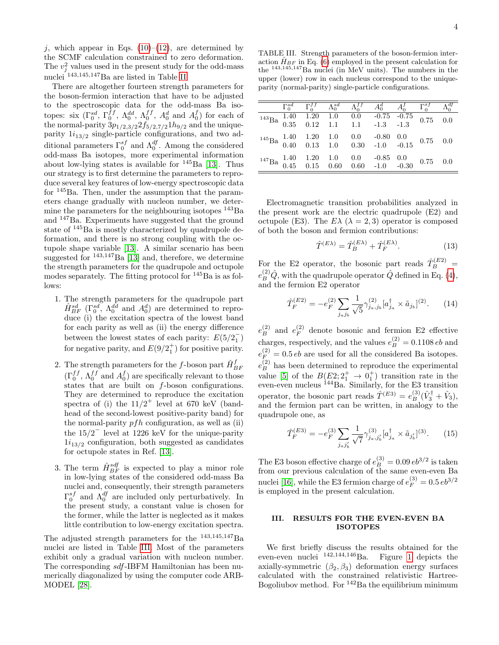j, which appear in Eqs.  $(10)$ – $(12)$ , are determined by the SCMF calculation constrained to zero deformation. The  $v_j^2$  values used in the present study for the odd-mass nuclei <sup>143</sup>,145,147Ba are listed in Table [II.](#page-2-1)

There are altogether fourteen strength parameters for the boson-fermion interaction that have to be adjusted to the spectroscopic data for the odd-mass Ba isotopes: six  $(\Gamma_0^{sd}, \Gamma_0^{ff}, \Lambda_0^{dd}, \Lambda_0^{ff}, A_0^d$  and  $A_0^f)$  for each of the normal-parity  $3p_{1/2,3/2}2f_{5/2,7/2}1h_{9/2}$  and the uniqueparity  $1i_{13/2}$  single-particle configurations, and two additional parameters  $\Gamma_0^{sf}$  and  $\Lambda_0^{df}$ . Among the considered odd-mass Ba isotopes, more experimental information about low-lying states is available for  $145Ba$  [\[13\]](#page-9-12). Thus our strategy is to first determine the parameters to reproduce several key features of low-energy spectroscopic data for <sup>145</sup>Ba. Then, under the assumption that the parameters change gradually with nucleon number, we determine the parameters for the neighbouring isotopes <sup>143</sup>Ba and <sup>147</sup>Ba. Experiments have suggested that the ground state of <sup>145</sup>Ba is mostly characterized by quadrupole deformation, and there is no strong coupling with the octupole shape variable [\[13\]](#page-9-12). A similar scenario has been suggested for  $\frac{143,147}{Ba}$  [\[13\]](#page-9-12) and, therefore, we determine the strength parameters for the quadrupole and octupole modes separately. The fitting protocol for  $145Ba$  is as follows:

- 1. The strength parameters for the quadrupole part  $\hat{H}^{sd}_{BF}$  ( $\Gamma_0^{sd}$ ,  $\Lambda_0^{dd}$  and  $A_0^d$ ) are determined to reproduce (i) the excitation spectra of the lowest band for each parity as well as (ii) the energy difference between the lowest states of each parity:  $E(5/2<sub>1</sub><sup>-1</sup>)$  $_{1}^{-}$ ) for negative parity, and  $E(9/2<sub>1</sub><sup>+</sup>)$  for positive parity.
- 2. The strength parameters for the *f*-boson part  $\hat{H}_{BF}^f$  $(\Gamma_0^{ff}, \Lambda_0^{ff} \text{ and } A_0^f)$  are specifically relevant to those states that are built on f-boson configurations. They are determined to reproduce the excitation spectra of (i) the  $11/2^+$  level at 670 keV (bandhead of the second-lowest positive-parity band) for the normal-parity  $pfh$  configuration, as well as (ii) the  $15/2$ <sup>-</sup> level at 1226 keV for the unique-parity  $1i_{13/2}$  configuration, both suggested as candidates for octupole states in Ref. [\[13\]](#page-9-12).
- 3. The term  $\hat{H}_{BF}^{sdf}$  is expected to play a minor role in low-lying states of the considered odd-mass Ba nuclei and, consequently, their strength parameters  $\Gamma_0^{sf}$  and  $\Lambda_0^{df}$  are included only perturbatively. In the present study, a constant value is chosen for the former, while the latter is neglected as it makes little contribution to low-energy excitation spectra.

The adjusted strength parameters for the <sup>143</sup>,145,<sup>147</sup>Ba nuclei are listed in Table [III.](#page-3-1) Most of the parameters exhibit only a gradual variation with nucleon number. The corresponding sdf-IBFM Hamiltonian has been numerically diagonalized by using the computer code ARB-MODEL [\[28\]](#page-10-9).

<span id="page-3-1"></span>TABLE III. Strength parameters of the boson-fermion interaction  $\hat{H}_{BF}$  in Eq. [\(6\)](#page-2-2) employed in the present calculation for the <sup>143</sup>,145,<sup>147</sup>Ba nuclei (in MeV units). The numbers in the upper (lower) row in each nucleus correspond to the uniqueparity (normal-parity) single-particle configurations.

|  | $\Gamma_0^{sd}$ $\Gamma_0^{ff}$ $\Lambda_0^{sd}$ $\Lambda_0^{ff}$                                                                                                                                                                                                                                                 |  | $A_0^d$ $A_0^f$ $\Gamma_0^{sf}$ $\Lambda_0^{df}$ |  |
|--|-------------------------------------------------------------------------------------------------------------------------------------------------------------------------------------------------------------------------------------------------------------------------------------------------------------------|--|--------------------------------------------------|--|
|  | $\stackrel{143}{\text{Ba}}\stackrel{1.40}{\text{Ba}}\,\stackrel{1.20}{\text{Bb}}\,\stackrel{1.20}{\text{Bb}}\,\stackrel{1.0}{\text{Bb}}\,\stackrel{0.0}{\text{Bb}}\,\stackrel{-0.75}{\text{Bb}}\,\stackrel{-0.75}{\text{Bb}}\,\stackrel{-0.75}{\text{Bb}}\,\stackrel{0.75}{\text{Bb}}\,\stackrel{0.0}{\text{Bb}}$ |  |                                                  |  |
|  | $\mathrm{^{145}Ba} \begin{array}{cccccc} 1.40 & 1.20 & 1.0 & 0.0 & -0.80 & 0.0 \\ 0.40 & 0.13 & 1.0 & 0.30 & -1.0 & -0.15 & 0.75 & 0.0 \end{array}$                                                                                                                                                               |  |                                                  |  |
|  | $\mathrm{^{147}Ba} \begin{array}{cccccc} 1.40 & 1.20 & 1.0 & 0.0 & -0.85 & 0.0 \\ 0.45 & 0.15 & 0.60 & 0.60 & -1.0 & -0.30 & 0.75 & 0.0 \end{array}$                                                                                                                                                              |  |                                                  |  |

Electromagnetic transition probabilities analyzed in the present work are the electric quadrupole (E2) and octupole (E3). The  $E\lambda$  ( $\lambda = 2, 3$ ) operator is composed of both the boson and fermion contributions:

$$
\hat{T}^{(E\lambda)} = \hat{T}_B^{(E\lambda)} + \hat{T}_F^{(E\lambda)}.
$$
\n(13)

For the E2 operator, the bosonic part reads  $\hat{T}_B^{(E2)}$  =  $e_B^{(2)}\hat{Q}$ , with the quadrupole operator  $\hat{Q}$  defined in Eq. [\(4\)](#page-1-2), and the fermion E2 operator

$$
\hat{T}_F^{(E2)} = -e_F^{(2)} \sum_{j_a j_b} \frac{1}{\sqrt{5}} \gamma_{j_a,j_b}^{(2)} [a_{j_a}^\dagger \times \tilde{a}_{j_b}]^{(2)}.
$$
 (14)

 $e^{(2)}_B$  and  $e^{(2)}_F$  $\binom{2}{F}$  denote bosonic and fermion E2 effective charges, respectively, and the values  $e_B^{(2)} = 0.1108 e_b$  and  $e_F^{(2)} = 0.5 e b$  are used for all the considered Ba isotopes.  $e_B^{(2)}$  has been determined to reproduce the experimental value [\[5\]](#page-9-4) of the  $B(E_2; 2^+_1 \rightarrow 0^+_1)$  transition rate in the even-even nucleus <sup>144</sup>Ba. Similarly, for the E3 transition operator, the bosonic part reads  $\hat{T}^{(E3)} = e_B^{(3)}(\hat{V}_3^{\dagger} + \hat{V}_3)$ , and the fermion part can be written, in analogy to the quadrupole one, as

$$
\hat{T}_F^{(E3)} = -e_F^{(3)} \sum_{j_a j'_b} \frac{1}{\sqrt{7}} \gamma_{j_a, j'_b}^{(3)} [a_{j_a}^\dagger \times \tilde{a}_{j'_b}]^{(3)}.
$$
 (15)

The E3 boson effective charge of  $e_B^{(3)} = 0.09 e^{3/2}$  is taken from our previous calculation of the same even-even Ba nuclei [\[16\]](#page-9-15), while the E3 fermion charge of  $e_F^{(3)} = 0.5 e b^{3/2}$ is employed in the present calculation.

## <span id="page-3-0"></span>III. RESULTS FOR THE EVEN-EVEN BA ISOTOPES

We first briefly discuss the results obtained for the even-even nuclei  $^{142,144,146}$ Ba. Figure [1](#page-4-0) depicts the axially-symmetric  $(\beta_2, \beta_3)$  deformation energy surfaces calculated with the constrained relativistic Hartree-Bogoliubov method. For  $142Ba$  the equilibrium minimum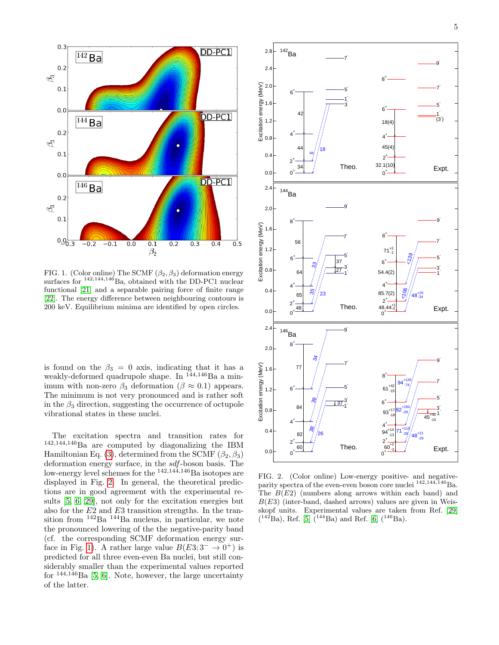

<span id="page-4-0"></span>FIG. 1. (Color online) The SCMF  $(\beta_2, \beta_3)$  deformation energy surfaces for  $^{142,144,146}$ Ba, obtained with the DD-PC1 nuclear functional [\[21\]](#page-10-2) and a separable pairing force of finite range [\[22\]](#page-10-3). The energy difference between neighbouring contours is 200 keV. Equilibrium minima are identified by open circles.

is found on the  $\beta_3 = 0$  axis, indicating that it has a weakly-deformed quadrupole shape. In <sup>144,146</sup>Ba a minimum with non-zero  $\beta_3$  deformation ( $\beta \approx 0.1$ ) appears. The minimum is not very pronounced and is rather soft in the  $\beta_3$  direction, suggesting the occurrence of octupole vibrational states in these nuclei.

The excitation spectra and transition rates for <sup>142</sup>,144,<sup>146</sup>Ba are computed by diagonalizing the IBM Hamiltonian Eq. [\(3\)](#page-1-1), determined from the SCMF  $(\beta_2, \beta_3)$ deformation energy surface, in the sdf-boson basis. The low-energy level schemes for the  $^{142,144,146}$ Ba isotopes are displayed in Fig. [2.](#page-4-1) In general, the theoretical predictions are in good agreement with the experimental results [\[5,](#page-9-4) [6,](#page-9-5) [29\]](#page-10-10), not only for the excitation energies but also for the  $E2$  and  $E3$  transition strengths. In the transition from <sup>142</sup>Ba <sup>144</sup>Ba nucleus, in particular, we note the pronounced lowering of the the negative-parity band (cf. the corresponding SCMF deformation energy sur-face in Fig. [1\)](#page-4-0). A rather large value  $B(E3; 3^- \rightarrow 0^+)$  is predicted for all three even-even Ba nuclei, but still considerably smaller than the experimental values reported for  $^{144,146}$ Ba [\[5,](#page-9-4) [6\]](#page-9-5). Note, however, the large uncertainty of the latter.



<span id="page-4-1"></span>FIG. 2. (Color online) Low-energy positive- and negativeparity spectra of the even-even boson core nuclei  $^{142,144,\overline{1}46}\text{Ba}$ . The  $B(E2)$  (numbers along arrows within each band) and  $B(E3)$  (inter-band, dashed arrows) values are given in Weisskopf units. Experimental values are taken from Ref. [\[29\]](#page-10-10)  $(142Ba)$ , Ref. [\[5\]](#page-9-4)  $(144Ba)$  and Ref. [\[6\]](#page-9-5)  $(146Ba)$ .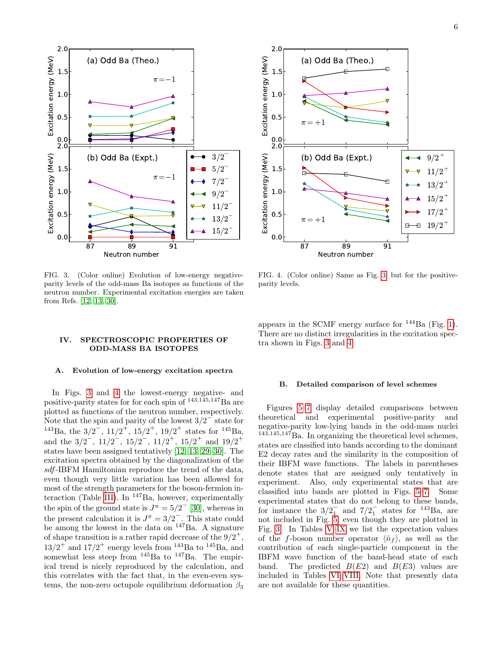

<span id="page-5-1"></span>FIG. 3. (Color online) Evolution of low-energy negativeparity levels of the odd-mass Ba isotopes as functions of the neutron number. Experimental excitation energies are taken from Refs. [\[12,](#page-9-11) [13,](#page-9-12) [30\]](#page-10-11).

### <span id="page-5-0"></span>IV. SPECTROSCOPIC PROPERTIES OF ODD-MASS BA ISOTOPES

### A. Evolution of low-energy excitation spectra

In Figs. [3](#page-5-1) and [4](#page-5-2) the lowest-energy negative- and positive-parity states for for each spin of <sup>143</sup>,145,147Ba are plotted as functions of the neutron number, respectively. Note that the spin and parity of the lowest  $3/2$ <sup> $-$ </sup> state for <sup>143</sup>Ba, the  $3/2^-$ ,  $11/2^+$ ,  $15/2^+$ ,  $19/2^+$  states for <sup>145</sup>Ba, and the  $3/2^-$ ,  $11/2^-$ ,  $15/2^-$ ,  $11/2^+$ ,  $15/2^+$  and  $19/2^+$ states have been assigned tentatively [\[12,](#page-9-11) [13,](#page-9-12) [29,](#page-10-10) [30\]](#page-10-11). The excitation spectra obtained by the diagonalization of the sdf-IBFM Hamiltonian reproduce the trend of the data, even though very little variation has been allowed for most of the strength parameters for the boson-fermion interaction (Table [III\)](#page-3-1). In <sup>147</sup>Ba, however, experimentally the spin of the ground state is  $J^{\pi} = 5/2^{-}$  [\[30\]](#page-10-11), whereas in the present calculation it is  $J^{\pi} = 3/2^{-}$ . This state could be among the lowest in the data on <sup>147</sup>Ba. A signature of shape transition is a rather rapid decrease of the  $9/2^+$ ,  $13/2^+$  and  $17/2^+$  energy levels from <sup>143</sup>Ba to <sup>145</sup>Ba, and somewhat less steep from  $145Ba$  to  $147Ba$ . The empirical trend is nicely reproduced by the calculation, and this correlates with the fact that, in the even-even systems, the non-zero octupole equilibrium deformation  $\beta_3$ 



<span id="page-5-2"></span>FIG. 4. (Color online) Same as Fig. [3,](#page-5-1) but for the positiveparity levels.

appears in the SCMF energy surface for  $^{144}$ Ba (Fig. [1\)](#page-4-0). There are no distinct irregularities in the excitation spectra shown in Figs. [3](#page-5-1) and [4.](#page-5-2)

#### B. Detailed comparison of level schemes

Figures [5–](#page-6-0)[7](#page-7-0) display detailed comparisons between theoretical and experimental positive-parity and negative-parity low-lying bands in the odd-mass nuclei <sup>143</sup>,145,147Ba. In organizing the theoretical level schemes, states are classified into bands according to the dominant E2 decay rates and the similarity in the composition of their IBFM wave functions. The labels in parentheses denote states that are assigned only tentatively in experiment. Also, only experimental states that are classified into bands are plotted in Figs. [5–](#page-6-0)[7.](#page-7-0) Some experimental states that do not belong to these bands, for instance the  $3/2_1^ \frac{1}{1}$  and  $7/2$ <sub>1</sub><sup>-</sup>  $\frac{1}{1}$  states for <sup>143</sup>Ba, are not included in Fig. [5,](#page-6-0) even though they are plotted in Fig. [3.](#page-5-1) In Tables [V](#page-6-1)[–IX](#page-8-1) we list the expectation values of the f-boson number operator  $\langle \hat{n}_f \rangle$ , as well as the contribution of each single-particle component in the IBFM wave function of the band-head state of each band. The predicted  $B(E2)$  and  $B(E3)$  values are included in Tables [VI–](#page-7-1)[VIII.](#page-8-2) Note that presently data are not available for these quantities.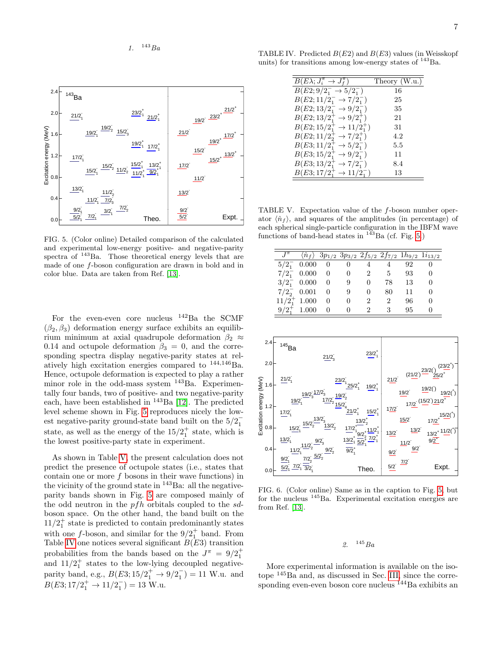

<span id="page-6-0"></span>FIG. 5. (Color online) Detailed comparison of the calculated and experimental low-energy positive- and negative-parity spectra of  $143$ Ba. Those theoretical energy levels that are made of one f-boson configuration are drawn in bold and in color blue. Data are taken from Ref. [\[13\]](#page-9-12).

For the even-even core nucleus <sup>142</sup>Ba the SCMF  $(\beta_2, \beta_3)$  deformation energy surface exhibits an equilibrium minimum at axial quadrupole deformation  $\beta_2 \approx$ 0.14 and octupole deformation  $\beta_3 = 0$ , and the corresponding spectra display negative-parity states at relatively high excitation energies compared to  $^{144,146}$ Ba. Hence, octupole deformation is expected to play a rather minor role in the odd-mass system  $143Ba$ . Experimentally four bands, two of positive- and two negative-parity each, have been established in <sup>143</sup>Ba [\[12\]](#page-9-11). The predicted level scheme shown in Fig. [5](#page-6-0) reproduces nicely the lowest negative-parity ground-state band built on the  $5/2^-$ 1 state, as well as the energy of the  $15/2<sub>1</sub><sup>+</sup>$  state, which is the lowest positive-party state in experiment.

As shown in Table [V,](#page-6-1) the present calculation does not predict the presence of octupole states (i.e., states that contain one or more  $f$  bosons in their wave functions) in the vicinity of the ground state in  $143$ Ba: all the negativeparity bands shown in Fig. [5](#page-6-0) are composed mainly of the odd neutron in the  $pfh$  orbitals coupled to the sdboson space. On the other hand, the band built on the  $11/2<sub>1</sub><sup>+</sup>$  state is predicted to contain predominantly states with one f-boson, and similar for the  $9/2<sub>1</sub><sup>+</sup>$  band. From Table [IV](#page-6-2) one notices several significant  $B(E3)$  transition probabilities from the bands based on the  $J^{\pi} = 9/2_1^+$ and  $11/2<sub>1</sub><sup>+</sup>$  states to the low-lying decoupled negativeparity band, e.g.,  $B(E3; 15/2_1^+ \rightarrow 9/2_1^ \binom{1}{1} = 11$  W.u. and  $B(E3; 17/2<sub>1</sub><sup>+</sup> \rightarrow 11/2<sub>1</sub>$  $j_1^-$  = 13 W.u.

TABLE IV. Predicted  $B(E2)$  and  $B(E3)$  values (in Weisskopf units) for transitions among low-energy states of  $^{143}$ Ba.

<span id="page-6-2"></span>

| $\overline{B(E\lambda;J^\pi_i\to J^\pi_f)}$ | Theory $(W.u.)$ |
|---------------------------------------------|-----------------|
| $B(E2; 9/2^-_1 \rightarrow 5/2^-_1)$        | 16              |
| $B(E2; 11/2^-_1 \rightarrow 7/2^-_1)$       | 25              |
| $B(E2; 13/2^-_1 \rightarrow 9/2^-_1)$       | 35              |
| $B(E2; 13/2_1^+ \rightarrow 9/2_1^+)$       | 21              |
| $B(E2; 15/2^+_1 \rightarrow 11/2^+_1)$      | 31              |
| $B(E2; 11/2^+_2 \rightarrow 7/2^+_1)$       | 4.2             |
| $B(E3;11/2^+_1\rightarrow 5/2^-_1)$         | 5.5             |
| $B(E3;15/2^+_1\rightarrow 9/2^-_1)$         | 11              |
| $B(E3; 13/2^+_1 \rightarrow 7/2^-_1)$       | 8.4             |
| $B(E3; 17/2^+_1 \rightarrow 11/2^-_1)$      | 13              |
|                                             |                 |

<span id="page-6-1"></span>TABLE V. Expectation value of the f-boson number operator  $\langle \hat{n}_f \rangle$ , and squares of the amplitudes (in percentage) of each spherical single-particle configuration in the IBFM wave functions of band-head states in  $^{143}$ Ba (cf. Fig. [5.](#page-6-0))

| $J^{\pi}$                 |                 |                |                |                             |                             |    | $\langle \hat{n}_f \rangle$ 3 $p_{1/2}$ 3 $p_{3/2}$ 2 $f_{5/2}$ 2 $f_{7/2}$ 1 $h_{9/2}$ 1 $i_{13/2}$ |
|---------------------------|-----------------|----------------|----------------|-----------------------------|-----------------------------|----|------------------------------------------------------------------------------------------------------|
|                           | $5/2^-$ 0.000   | $\overline{0}$ | $\overline{0}$ | 4                           | $\overline{4}$              | 92 |                                                                                                      |
|                           | $7/2^-$ 0.000   | $\overline{0}$ | $\theta$       | $\mathcal{D}_{\mathcal{L}}$ | 5                           | 93 | 0                                                                                                    |
|                           | $3/2^-$ 0.000   | $\theta$       | 9              | $\Omega$                    | 78                          | 13 | 0                                                                                                    |
|                           | $7/2^-$ 0.001   | $\theta$       | 9              | $\Omega$                    | 80                          | 11 | 0                                                                                                    |
| $11/2$ <sup>+</sup> 1.000 |                 | $\theta$       | $\Omega$       | 2                           | $\mathcal{D}_{\mathcal{L}}$ | 96 | 0                                                                                                    |
|                           | $9/2^+_1$ 1.000 | 0              | $\Omega$       | 2                           | 3                           | 95 |                                                                                                      |



<span id="page-6-3"></span>FIG. 6. (Color online) Same as in the caption to Fig. [5,](#page-6-0) but for the nucleus  $145$ Ba. Experimental excitation energies are from Ref. [\[13\]](#page-9-12).

### 2.  $145 Ba$

More experimental information is available on the isotope <sup>145</sup>Ba and, as discussed in Sec. [III,](#page-3-0) since the corresponding even-even boson core nucleus <sup>144</sup>Ba exhibits an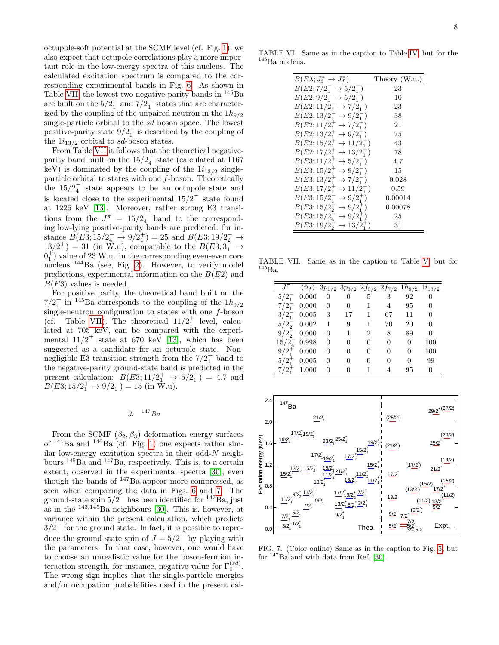octupole-soft potential at the SCMF level (cf. Fig. [1\)](#page-4-0), we also expect that octupole correlations play a more important role in the low-energy spectra of this nucleus. The calculated excitation spectrum is compared to the corresponding experimental bands in Fig. [6.](#page-6-3) As shown in Table [VII,](#page-7-2) the lowest two negative-parity bands in <sup>145</sup>Ba are built on the  $5/2^ \frac{1}{1}$  and  $7/2^{2}_{1}$  $\frac{1}{1}$  states that are characterized by the coupling of the unpaired neutron in the  $1h_{9/2}$ single-particle orbital to the sd boson space. The lowest positive-parity state  $9/2_1^+$  is described by the coupling of the  $1i_{13/2}$  orbital to sd-boson states.

From Table [VII](#page-7-2) it follows that the theoretical negativeparity band built on the  $15/2<sub>4</sub>^ \frac{1}{4}$  state (calculated at 1167) keV) is dominated by the coupling of the  $1i_{13/2}$  singleparticle orbital to states with one  $f$ -boson. Theoretically the  $15/2<sub>4</sub>^ \frac{1}{4}$  state appears to be an octupole state and is located close to the experimental  $15/2$ <sup> $-$ </sup> state found at 1226 keV [\[13\]](#page-9-12). Moreover, rather strong E3 transitions from the  $J^{\pi} = 15/2_4^ \frac{1}{4}$  band to the corresponding low-lying positive-parity bands are predicted: for instance  $B(E3; 15/2_4^- \rightarrow 9/2_1^+) = 25$  and  $B(E3; 19/2_2^- \rightarrow$  $13/2_1^+$  = 31 (in W.u), comparable to the  $B(E3;3_1^- \rightarrow$  $0<sub>1</sub><sup>+</sup>$ ) value of 23 W.u. in the corresponding even-even core nucleus <sup>144</sup>Ba (see, Fig. [2\)](#page-4-1). However, to verify model predictions, experimental information on the  $B(E2)$  and  $B(E3)$  values is needed.

For positive parity, the theoretical band built on the  $7/2_1^+$  in <sup>145</sup>Ba corresponds to the coupling of the  $1h_{9/2}$ single-neutron configuration to states with one  $f$ -boson (cf. Table [VII\)](#page-7-2). The theoretical  $11/2_1^+$  level, calculated at 705 keV, can be compared with the experimental  $11/2^+$  state at 670 keV [\[13\]](#page-9-12), which has been suggested as a candidate for an octupole state. Nonnegligible E3 transition strength from the  $7/2<sub>1</sub><sup>+</sup>$  band to the negative-parity ground-state band is predicted in the present calculation:  $B(E3; 11/2_1^+ \rightarrow 5/2_1^-) = 4.7$  and  $B(E3; 15/2_1^+ \rightarrow 9/2_1^-) = 15 \text{ (in W.u)}.$ 

# 3.  $147 Ba$

From the SCMF  $(\beta_2, \beta_3)$  deformation energy surfaces of  $144Ba$  and  $146Ba$  (cf. Fig. [1\)](#page-4-0) one expects rather similar low-energy excitation spectra in their odd-N neighbours <sup>145</sup>Ba and <sup>147</sup>Ba, respectively. This is, to a certain extent, observed in the experimental spectra [\[30\]](#page-10-11), even though the bands of <sup>147</sup>Ba appear more compressed, as seen when comparing the data in Figs. [6](#page-6-3) and [7.](#page-7-0) The ground-state spin  $5/2$ <sup>-</sup> has been identified for <sup>147</sup>Ba, just as in the  $143,145$ Ba neighbours [\[30\]](#page-10-11). This is, however, at variance within the present calculation, which predicts  $3/2$ <sup> $-$ </sup> for the ground state. In fact, it is possible to reproduce the ground state spin of  $J = 5/2^-$  by playing with the parameters. In that case, however, one would have to choose an unrealistic value for the boson-fermion interaction strength, for instance, negative value for  $\Gamma_0^{(sd)}$ . The wrong sign implies that the single-particle energies and/or occupation probabilities used in the present cal-

TABLE VI. Same as in the caption to Table [IV,](#page-6-2) but for the  $\rm ^{145}Ba$  nucleus.

<span id="page-7-1"></span>

| $B(E\lambda; J_i^{\pi} \to J_f^{\pi})$          | Theory $(W.u.)$ |
|-------------------------------------------------|-----------------|
| $B(E2; 7/2^-_1 \rightarrow 5/2^-_1)$            | 23              |
| $B(E2; 9/2^-_1 \rightarrow 5/2^-_1)$            | 10              |
| $B(E2; 11/2^-_1 \rightarrow 7/2^-_1)$           | 23              |
| $B(E2; 13/2^-_1 \rightarrow 9/2^-_1)$           | 38              |
| $B(E2; 11/2^+_1 \rightarrow 7/2^+_1)$           | 21              |
| $B(E2; 13/2^+_1 \rightarrow 9/2^+_1)$           | 75              |
| $B(E2; 15/2^+_1 \rightarrow 11/2^+_1)$          | 43              |
| $B(E2; 17/2^+_1 \rightarrow 13/2^+_1)$          | 78              |
| $B(E3;11/2^+_1\rightarrow 5/2^-_1)$             | 4.7             |
| $B(E3; 15/2^+_1 \rightarrow 9/2^-_1)$           | 15              |
| $B(E3; 13/2^+_1 \rightarrow 7/2^-_1)$           | 0.028           |
| $B(E3; 17/2^+_1 \rightarrow 11/2^-_1)$          | 0.59            |
| $\rightarrow 9/2^{+}_{1})$<br>$B(E3;15/21^{-})$ | 0.00014         |
| $B(E3;15/2^-_2\rightarrow 9/2^+_1)$             | 0.00078         |
| $B(E3; 15/2^-_4 \rightarrow 9/2^+_1)$           | 25              |
| $B(E3; 19/2^-_2 \rightarrow 13/2^+_1)$          | 31              |

TABLE VII. Same as in the caption to Table [V,](#page-6-1) but for  $145Ba$ .

<span id="page-7-2"></span>

| $T^{\pi}$      | $\langle \hat{n}_{f} \rangle$ |          |    |   |    | $3p_{1/2}$ $3p_{3/2}$ $2f_{5/2}$ $2f_{7/2}$ $1h_{9/2}$ $1i_{13/2}$ |     |
|----------------|-------------------------------|----------|----|---|----|--------------------------------------------------------------------|-----|
| $5/2^-$        | 0.000                         | 0        | 0  | 5 | 3  | 92                                                                 | 0   |
| $7/2^{-}_{1}$  | 0.000                         | 0        | 0  |   | 4  | 95                                                                 | 0   |
| $3/2^{-}_{1}$  | 0.005                         | 3        | 17 |   | 67 | 11                                                                 | 0   |
| $5/2^{-}_{2}$  | 0.002                         | 1        | 9  |   | 70 | 20                                                                 | 0   |
| $9/2^{-}_{2}$  | 0.000                         | 0        | 1  | 2 | 8  | 89                                                                 | 0   |
| $15/2^{-}_{4}$ | 0.998                         | 0        | 0  | 0 | 0  | 0                                                                  | 100 |
| 9/2.           | 0.000                         | 0        | 0  |   | 0  | 0                                                                  | 100 |
| 5/2            | 0.005                         | 0        | 0  |   | 0  | 0                                                                  | 99  |
|                | 1.000                         | $\Omega$ |    |   |    | 95                                                                 | 0   |



<span id="page-7-0"></span>FIG. 7. (Color online) Same as in the caption to Fig. [5,](#page-6-0) but for <sup>147</sup>Ba and with data from Ref. [\[30\]](#page-10-11).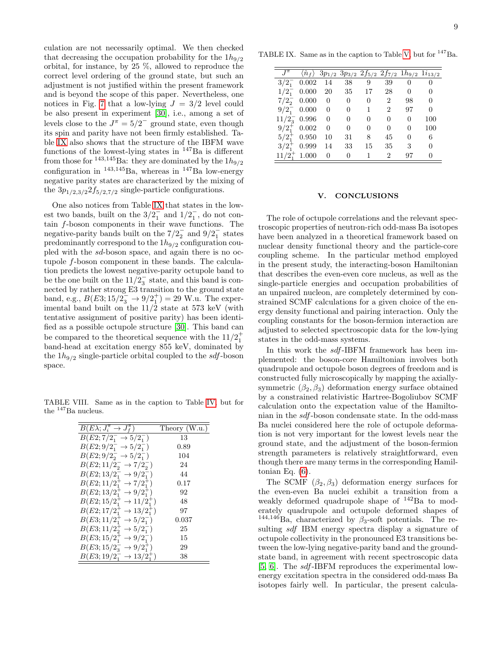culation are not necessarily optimal. We then checked that decreasing the occupation probability for the  $1h_{9/2}$ orbital, for instance, by 25 %, allowed to reproduce the correct level ordering of the ground state, but such an adjustment is not justified within the present framework and is beyond the scope of this paper. Nevertheless, one notices in Fig. [7](#page-7-0) that a low-lying  $J = 3/2$  level could be also present in experiment [\[30\]](#page-10-11), i.e., among a set of levels close to the  $J^{\pi} = 5/2^{-}$  ground state, even though its spin and parity have not been firmly established. Table [IX](#page-8-1) also shows that the structure of the IBFM wave functions of the lowest-lying states in  $147$ Ba is different from those for <sup>143,145</sup>Ba: they are dominated by the  $1h_{9/2}$ configuration in  $^{143,145}$ Ba, whereas in  $^{147}$ Ba low-energy negative parity states are characterized by the mixing of the  $3p_{1/2,3/2}2f_{5/2,7/2}$  single-particle configurations.

One also notices from Table [IX](#page-8-1) that states in the lowest two bands, built on the  $3/2<sub>1</sub><sup>-</sup>$ </sup>  $_1^-$  and  $1/2_1^ \frac{1}{1}$ , do not contain f-boson components in their wave functions. The negative-parity bands built on the  $7/2$ <sup>-1</sup>  $_2^-$  and  $9/2_1^ \frac{1}{1}$  states predominantly correspond to the  $1h_{9/2}$  configuration coupled with the sd-boson space, and again there is no octupole f-boson component in these bands. The calculation predicts the lowest negative-parity octupole band to be the one built on the  $11/2$ <sup>-1</sup>  $\frac{1}{3}$  state, and this band is connected by rather strong E3 transition to the ground state band, e.g.,  $B(E3; 15/2<sub>3</sub><sup>-</sup> \to 9/2<sub>1</sub><sup>+</sup>) = 29$  W.u. The experimental band built on the  $11/2$  state at 573 keV (with tentative assignment of positive parity) has been identified as a possible octupole structure [\[30\]](#page-10-11). This band can be compared to the theoretical sequence with the  $11/2_1^+$ band-head at excitation energy 855 keV, dominated by the  $1h_{9/2}$  single-particle orbital coupled to the *sdf*-boson space.

TABLE VIII. Same as in the caption to Table [IV,](#page-6-2) but for the <sup>147</sup>Ba nucleus.

<span id="page-8-2"></span>

| $B(E\lambda; J_i^{\pi} \to J_f^{\pi})$ | Theory (W.u.) |
|----------------------------------------|---------------|
| $B(E2; 7/2^-_1 \rightarrow 5/2^-_1)$   | 13            |
| $B(E2; 9/2^-_1 \rightarrow 5/2^-_1)$   | 0.89          |
| $B(E2; 9/2^-_2 \rightarrow 5/2^-_1)$   | 104           |
| $B(E2;11/2_2^- \rightarrow 7/2_2^-)$   | 24            |
| $B(E2; 13/2^-_1 \rightarrow 9/2^-_1)$  | 44            |
| $B(E2; 11/2^+_1 \rightarrow 7/2^+_1)$  | 0.17          |
| $B(E2; 13/2_1^+ \rightarrow 9/2_1^+)$  | 92            |
| $B(E2; 15/2^+_1 \rightarrow 11/2^+_1)$ | 48            |
| $B(E2; 17/2^+_1 \rightarrow 13/2^+_1)$ | 97            |
| $B(E3;11/2^+_1\rightarrow 5/2^-_1)$    | 0.037         |
| $B(E3;11/2^+_2\rightarrow 5/2^-_1)$    | 25            |
| $B(E3;15/2_1^+\rightarrow 9/2_1^-)$    | 15            |
| $B(E3; 15/2_3^- \rightarrow 9/2_1^+)$  | 29            |
| $B(E3; 19/2^-_1 \rightarrow 13/2^+_1)$ | 38            |

TABLE IX. Same as in the caption to Table [V,](#page-6-1) but for <sup>147</sup>Ba.

<span id="page-8-1"></span>

| $\bar{J}^{\overline{\pi}}$ | $\langle n_f \rangle$     |                |    |    |                |    | $3p_{1/2}$ $3p_{3/2}$ $2f_{5/2}$ $2f_{7/2}$ $1h_{9/2}$ $1i_{13/2}$ |
|----------------------------|---------------------------|----------------|----|----|----------------|----|--------------------------------------------------------------------|
| $3/2^{-}$                  | 0.002                     | 14             | 38 | 9  | 39             | 0  | 0                                                                  |
| $1/2^{-}_{1}$              | 0.000                     | 20             | 35 | 17 | 28             | 0  | 0                                                                  |
|                            | $7/2$ <sub>2</sub> 0.000  | $\overline{0}$ | 0  | 0  | $\overline{2}$ | 98 | 0                                                                  |
| $9/2^{-}_{1}$              | $0.000\,$                 | $\theta$       | 0  | 1  | $\overline{2}$ | 97 | 0                                                                  |
|                            | $11/2$ <sub>2</sub> 0.996 | $\Omega$       | 0  | 0  | 0              | 0  | 100                                                                |
| $9/2^+$                    | 0.002                     | $\Omega$       | 0  | 0  | 0              | 0  | 100                                                                |
|                            | $5/2^+_1$ 0.950           | 10             | 31 | 8  | 45             | 0  | 6                                                                  |
| $3/2^+$                    | 0.999                     | 14             | 33 | 15 | 35             | 3  | 0                                                                  |
|                            | 1.000                     | $\Omega$       | 0  | 1  | 2              | 97 | 0                                                                  |

### <span id="page-8-0"></span>V. CONCLUSIONS

The role of octupole correlations and the relevant spectroscopic properties of neutron-rich odd-mass Ba isotopes have been analyzed in a theoretical framework based on nuclear density functional theory and the particle-core coupling scheme. In the particular method employed in the present study, the interacting-boson Hamiltonian that describes the even-even core nucleus, as well as the single-particle energies and occupation probabilities of an unpaired nucleon, are completely determined by constrained SCMF calculations for a given choice of the energy density functional and pairing interaction. Only the coupling constants for the boson-fermion interaction are adjusted to selected spectroscopic data for the low-lying states in the odd-mass systems.

In this work the sdf-IBFM framework has been implemented: the boson-core Hamiltonian involves both quadrupole and octupole boson degrees of freedom and is constructed fully microscopically by mapping the axiallysymmetric  $(\beta_2, \beta_3)$  deformation energy surface obtained by a constrained relativistic Hartree-Bogoliubov SCMF calculation onto the expectation value of the Hamiltonian in the sdf-boson condensate state. In the odd-mass Ba nuclei considered here the role of octupole deformation is not very important for the lowest levels near the ground state, and the adjustment of the boson-fermion strength parameters is relatively straightforward, even though there are many terms in the corresponding Hamiltonian Eq. [\(6\)](#page-2-2).

The SCMF  $(\beta_2, \beta_3)$  deformation energy surfaces for the even-even Ba nuclei exhibit a transition from a weakly deformed quadrupole shape of <sup>142</sup>Ba to moderately quadrupole and octupole deformed shapes of <sup>144,146</sup>Ba, characterized by  $\beta_3$ -soft potentials. The resulting sdf IBM energy spectra display a signature of octupole collectivity in the pronounced E3 transitions between the low-lying negative-parity band and the groundstate band, in agreement with recent spectroscopic data [\[5,](#page-9-4) [6\]](#page-9-5). The sdf-IBFM reproduces the experimental lowenergy excitation spectra in the considered odd-mass Ba isotopes fairly well. In particular, the present calcula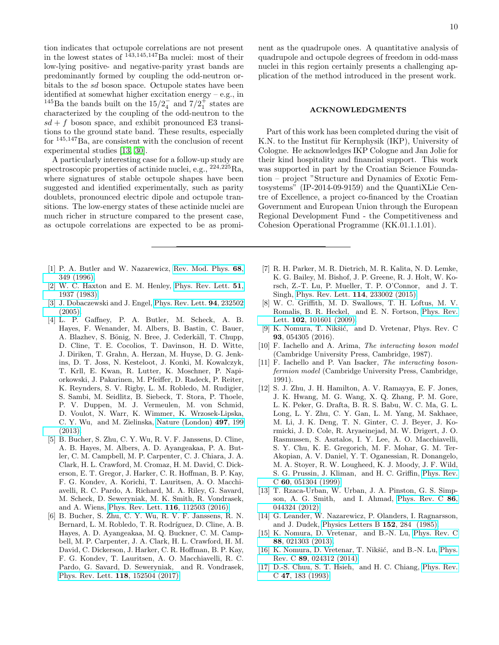tion indicates that octupole correlations are not present in the lowest states of  $143,145,147$ Ba nuclei: most of their low-lying positive- and negative-parity yrast bands are predominantly formed by coupling the odd-neutron orbitals to the sd boson space. Octupole states have been identified at somewhat higher excitation energy – e.g., in <sup>145</sup>Ba the bands built on the  $15/2<sub>4</sub>^ \frac{1}{4}$  and  $7/2^{\frac{1}{4}}$  states are characterized by the coupling of the odd-neutron to the  $sd + f$  boson space, and exhibit pronounced E3 transitions to the ground state band. These results, especially for <sup>145</sup>,147Ba, are consistent with the conclusion of recent experimental studies [\[13,](#page-9-12) [30\]](#page-10-11).

A particularly interesting case for a follow-up study are spectroscopic properties of actinide nuclei, e.g.,  $^{224,225}$ Ra, where signatures of stable octupole shapes have been suggested and identified experimentally, such as parity doublets, pronounced electric dipole and octupole transitions. The low-energy states of these actinide nuclei are much richer in structure compared to the present case, as octupole correlations are expected to be as promi-

- <span id="page-9-0"></span>[1] P. A. Butler and W. Nazarewicz, [Rev. Mod. Phys.](http://dx.doi.org/10.1103/RevModPhys.68.349) 68, [349 \(1996\).](http://dx.doi.org/10.1103/RevModPhys.68.349)
- <span id="page-9-1"></span>[2] W. C. Haxton and E. M. Henley, [Phys. Rev. Lett.](http://dx.doi.org/10.1103/PhysRevLett.51.1937) 51, [1937 \(1983\).](http://dx.doi.org/10.1103/PhysRevLett.51.1937)
- <span id="page-9-2"></span>[3] J. Dobaczewski and J. Engel, [Phys. Rev. Lett.](http://dx.doi.org/10.1103/PhysRevLett.94.232502) 94, 232502 [\(2005\).](http://dx.doi.org/10.1103/PhysRevLett.94.232502)
- <span id="page-9-3"></span>[4] L. P. Gaffney, P. A. Butler, M. Scheck, A. B. Hayes, F. Wenander, M. Albers, B. Bastin, C. Bauer, A. Blazhev, S. Bönig, N. Bree, J. Cederkäll, T. Chupp, D. Cline, T. E. Cocolios, T. Davinson, H. D. Witte, J. Diriken, T. Grahn, A. Herzan, M. Huyse, D. G. Jenkins, D. T. Joss, N. Kesteloot, J. Konki, M. Kowalczyk, T. Krll, E. Kwan, R. Lutter, K. Moschner, P. Napiorkowski, J. Pakarinen, M. Pfeiffer, D. Radeck, P. Reiter, K. Reynders, S. V. Rigby, L. M. Robledo, M. Rudigier, S. Sambi, M. Seidlitz, B. Siebeck, T. Stora, P. Thoele, P. V. Duppen, M. J. Vermeulen, M. von Schmid, D. Voulot, N. Warr, K. Wimmer, K. Wrzosek-Lipska, C. Y. Wu, and M. Zielinska, [Nature \(London\)](http://dx.doi.org/10.1038/nature12073) 497, 199 [\(2013\).](http://dx.doi.org/10.1038/nature12073)
- <span id="page-9-4"></span>[5] B. Bucher, S. Zhu, C. Y. Wu, R. V. F. Janssens, D. Cline, A. B. Hayes, M. Albers, A. D. Ayangeakaa, P. A. Butler, C. M. Campbell, M. P. Carpenter, C. J. Chiara, J. A. Clark, H. L. Crawford, M. Cromaz, H. M. David, C. Dickerson, E. T. Gregor, J. Harker, C. R. Hoffman, B. P. Kay, F. G. Kondev, A. Korichi, T. Lauritsen, A. O. Macchiavelli, R. C. Pardo, A. Richard, M. A. Riley, G. Savard, M. Scheck, D. Seweryniak, M. K. Smith, R. Vondrasek, and A. Wiens, [Phys. Rev. Lett.](http://dx.doi.org/10.1103/PhysRevLett.116.112503) 116, 112503 (2016).
- <span id="page-9-5"></span>[6] B. Bucher, S. Zhu, C. Y. Wu, R. V. F. Janssens, R. N. Bernard, L. M. Robledo, T. R. Rodríguez, D. Cline, A. B. Hayes, A. D. Ayangeakaa, M. Q. Buckner, C. M. Campbell, M. P. Carpenter, J. A. Clark, H. L. Crawford, H. M. David, C. Dickerson, J. Harker, C. R. Hoffman, B. P. Kay, F. G. Kondev, T. Lauritsen, A. O. Macchiavelli, R. C. Pardo, G. Savard, D. Seweryniak, and R. Vondrasek, [Phys. Rev. Lett.](http://dx.doi.org/10.1103/PhysRevLett.118.152504) 118, 152504 (2017).

nent as the quadrupole ones. A quantitative analysis of quadrupole and octupole degrees of freedom in odd-mass nuclei in this region certainly presents a challenging application of the method introduced in the present work.

#### ACKNOWLEDGMENTS

Part of this work has been completed during the visit of K.N. to the Institut für Kernphysik (IKP), University of Cologne. He acknowledges IKP Cologne and Jan Jolie for their kind hospitality and financial support. This work was supported in part by the Croatian Science Foundation – project "Structure and Dynamics of Exotic Femtosystems" (IP-2014-09-9159) and the QuantiXLie Centre of Excellence, a project co-financed by the Croatian Government and European Union through the European Regional Development Fund - the Competitiveness and Cohesion Operational Programme (KK.01.1.1.01).

- <span id="page-9-6"></span>[7] R. H. Parker, M. R. Dietrich, M. R. Kalita, N. D. Lemke, K. G. Bailey, M. Bishof, J. P. Greene, R. J. Holt, W. Korsch, Z.-T. Lu, P. Mueller, T. P. O'Connor, and J. T. Singh, [Phys. Rev. Lett.](http://dx.doi.org/10.1103/PhysRevLett.114.233002) 114, 233002 (2015).
- <span id="page-9-7"></span>[8] W. C. Griffith, M. D. Swallows, T. H. Loftus, M. V. Romalis, B. R. Heckel, and E. N. Fortson, [Phys. Rev.](http://dx.doi.org/10.1103/PhysRevLett.102.101601) Lett. **102**[, 101601 \(2009\).](http://dx.doi.org/10.1103/PhysRevLett.102.101601)
- <span id="page-9-8"></span>[9] K. Nomura, T. Nikšić, and D. Vretenar, Phys. Rev. C 93, 054305 (2016).
- <span id="page-9-9"></span>[10] F. Iachello and A. Arima, The interacting boson model (Cambridge University Press, Cambridge, 1987).
- <span id="page-9-10"></span>[11] F. Iachello and P. Van Isacker, The interacting bosonfermion model (Cambridge University Press, Cambridge, 1991).
- <span id="page-9-11"></span>[12] S. J. Zhu, J. H. Hamilton, A. V. Ramayya, E. F. Jones, J. K. Hwang, M. G. Wang, X. Q. Zhang, P. M. Gore, L. K. Peker, G. Drafta, B. R. S. Babu, W. C. Ma, G. L. Long, L. Y. Zhu, C. Y. Gan, L. M. Yang, M. Sakhaee, M. Li, J. K. Deng, T. N. Ginter, C. J. Beyer, J. Kormicki, J. D. Cole, R. Aryaeinejad, M. W. Drigert, J. O. Rasmussen, S. Asztalos, I. Y. Lee, A. O. Macchiavelli, S. Y. Chu, K. E. Gregorich, M. F. Mohar, G. M. Ter-Akopian, A. V. Daniel, Y. T. Oganessian, R. Donangelo, M. A. Stoyer, R. W. Lougheed, K. J. Moody, J. F. Wild, S. G. Prussin, J. Kliman, and H. C. Griffin, [Phys. Rev.](http://dx.doi.org/ 10.1103/PhysRevC.60.051304) C 60[, 051304 \(1999\).](http://dx.doi.org/ 10.1103/PhysRevC.60.051304)
- <span id="page-9-12"></span>[13] T. Rzaca-Urban, W. Urban, J. A. Pinston, G. S. Simpson, A. G. Smith, and I. Ahmad, [Phys. Rev. C](http://dx.doi.org/ 10.1103/PhysRevC.86.044324) 86, [044324 \(2012\).](http://dx.doi.org/ 10.1103/PhysRevC.86.044324)
- <span id="page-9-13"></span>[14] G. Leander, W. Nazarewicz, P. Olanders, I. Ragnarsson, and J. Dudek, [Physics Letters B](http://dx.doi.org/ https://doi.org/10.1016/0370-2693(85)90496-4) 152, 284 (1985).
- <span id="page-9-14"></span>[15] K. Nomura, D. Vretenar, and B.-N. Lu, [Phys. Rev. C](http://dx.doi.org/10.1103/PhysRevC.88.021303) 88[, 021303 \(2013\).](http://dx.doi.org/10.1103/PhysRevC.88.021303)
- <span id="page-9-15"></span>[16] K. Nomura, D. Vretenar, T. Nikšić, and B.-N. Lu, [Phys.](http://dx.doi.org/10.1103/PhysRevC.89.024312) Rev. C 89[, 024312 \(2014\).](http://dx.doi.org/10.1103/PhysRevC.89.024312)
- <span id="page-9-16"></span>[17] D.-S. Chuu, S. T. Hsieh, and H. C. Chiang, [Phys. Rev.](http://dx.doi.org/10.1103/PhysRevC.47.183) C 47[, 183 \(1993\).](http://dx.doi.org/10.1103/PhysRevC.47.183)